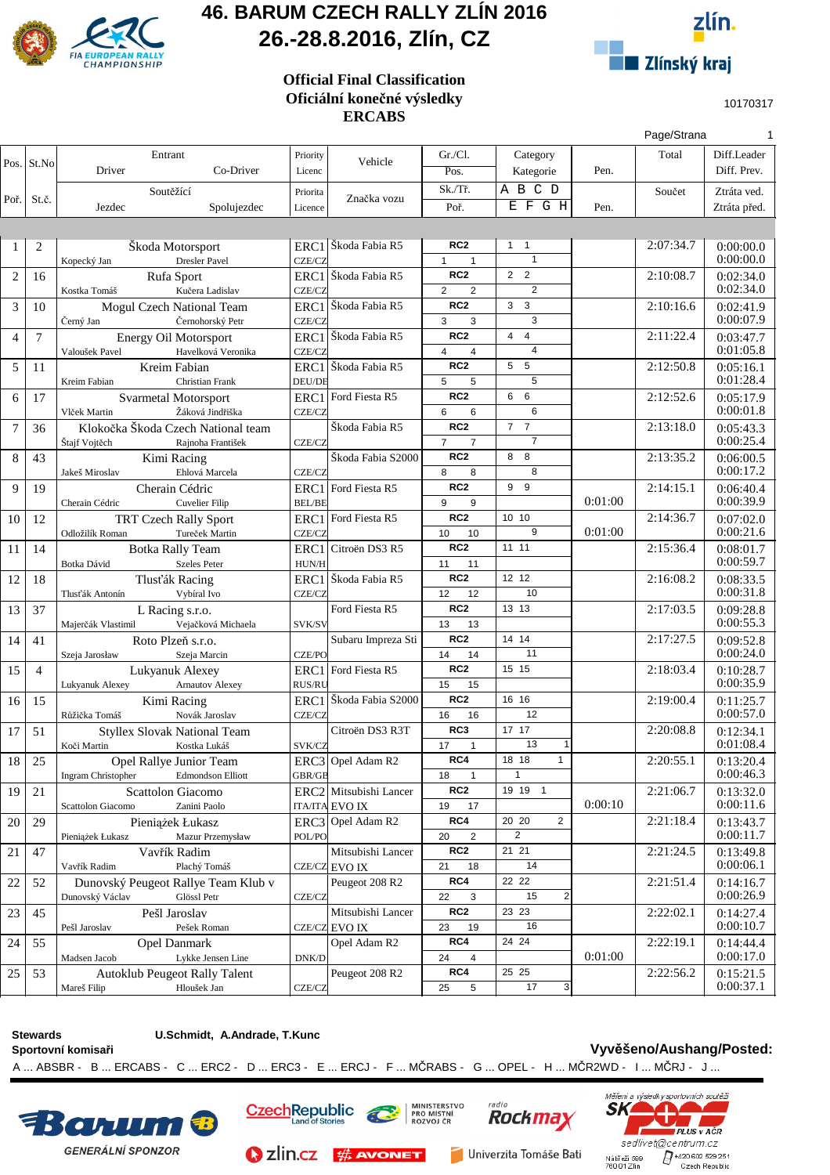

## **46. BARUM CZECH RALLY ZLÍN 2016 26.-28.8.2016, Zlín, CZ**



#### **Official Final Classification Oficiální konečné výsledky ERCABS**

10170317

|                |                |                                                                 |                |                               |                                  |                                        |         | Page/Strana | $\mathbf{1}$           |
|----------------|----------------|-----------------------------------------------------------------|----------------|-------------------------------|----------------------------------|----------------------------------------|---------|-------------|------------------------|
|                |                | Entrant                                                         | Priority       |                               | $Gr/Cl$ .                        | Category                               |         | Total       | Diff.Leader            |
|                | $Pos.$ St.No   | Co-Driver<br>Driver                                             | Licenc         | Vehicle                       | Pos.                             | Kategorie                              | Pen.    |             | Diff. Prev.            |
|                |                | Soutěžící                                                       |                |                               | Sk./Tř.                          | A B C D                                |         |             | Ztráta ved.            |
| Poř.           | St.č.          |                                                                 | Priorita       | Značka vozu                   |                                  | EFGH                                   |         | Součet      |                        |
|                |                | Jezdec<br>Spolujezdec                                           | Licence        |                               | Poř.                             |                                        | Pen.    |             | Ztráta před.           |
|                |                |                                                                 |                |                               |                                  |                                        |         |             |                        |
| 1              | $\overline{2}$ | Škoda Motorsport                                                |                | ERC1 Škoda Fabia R5           | RC <sub>2</sub>                  | $1 \quad 1$                            |         | 2:07:34.7   | 0:00:00.0              |
|                |                | <b>Dresler Pavel</b><br>Kopecký Jan                             | CZE/CZ         |                               | $\mathbf{1}$<br>$\mathbf{1}$     | $\mathbf{1}$                           |         |             | 0:00:00.0              |
| $\overline{c}$ | 16             | Rufa Sport                                                      | ERC1           | Škoda Fabia R5                | RC <sub>2</sub>                  | $\overline{2}$<br>$\overline{2}$       |         | 2:10:08.7   | 0:02:34.0              |
|                |                | Kučera Ladislav<br>Kostka Tomáš                                 | CZE/CZ         |                               | $\overline{2}$<br>$\overline{2}$ | $\overline{2}$                         |         |             | 0:02:34.0              |
| 3              | 10             | Mogul Czech National Team                                       | ERC1           | Škoda Fabia R5                | RC <sub>2</sub>                  | 3<br>3                                 |         | 2:10:16.6   | 0:02:41.9              |
|                |                | Černý Jan<br>Černohorský Petr                                   | CZE/CZ         |                               | 3<br>3                           | 3                                      |         |             | 0:00:07.9              |
| 4              | 7              | <b>Energy Oil Motorsport</b>                                    | ERC1           | Škoda Fabia R5                | RC <sub>2</sub>                  | $\overline{4}$<br>$\overline{4}$       |         | 2:11:22.4   | 0:03:47.7              |
|                |                | Havelková Veronika<br>Valoušek Pavel                            | CZE/CZ         |                               | $\overline{4}$<br>4              | $\overline{4}$<br>5                    |         |             | 0:01:05.8              |
| 5              | 11             | Kreim Fabian                                                    | ERC1           | Škoda Fabia R5                | RC <sub>2</sub>                  | 5<br>5                                 |         | 2:12:50.8   | 0:05:16.1<br>0:01:28.4 |
|                |                | Kreim Fabian<br>Christian Frank                                 | DEU/DE         | Ford Fiesta R5                | 5<br>5<br>RC <sub>2</sub>        | 6<br>6                                 |         | 2:12:52.6   |                        |
| 6              | 17             | <b>Svarmetal Motorsport</b><br>Žáková Jindřiška<br>Vlček Martin | ERC1<br>CZE/CZ |                               | 6<br>6                           | 6                                      |         |             | 0:05:17.9<br>0:00:01.8 |
| 7              | 36             | Klokočka Škoda Czech National team                              |                | Škoda Fabia R5                | RC <sub>2</sub>                  | $7^{\circ}$<br>$\overline{7}$          |         | 2:13:18.0   | 0:05:43.3              |
|                |                | Štajf Vojtěch<br>Rajnoha František                              | CZE/CZ         |                               | $\overline{7}$<br>$\overline{7}$ | $\overline{7}$                         |         |             | 0:00:25.4              |
| $\,$ 8 $\,$    | 43             | Kimi Racing                                                     |                | Škoda Fabia S2000             | RC <sub>2</sub>                  | 8<br>8                                 |         | 2:13:35.2   | 0:06:00.5              |
|                |                | Ehlová Marcela<br>Jakeš Miroslav                                | CZE/CZ         |                               | 8<br>8                           | 8                                      |         |             | 0:00:17.2              |
| 9              | 19             | Cherain Cédric                                                  |                | ERC1 Ford Fiesta R5           | RC <sub>2</sub>                  | 9<br>9                                 |         | 2:14:15.1   | 0:06:40.4              |
|                |                | Cherain Cédric<br><b>Cuvelier Filip</b>                         | <b>BEL/BE</b>  |                               | 9<br>9                           |                                        | 0:01:00 |             | 0:00:39.9              |
| 10             | 12             | <b>TRT Czech Rally Sport</b>                                    | ERC1           | Ford Fiesta R5                | RC <sub>2</sub>                  | 10 10                                  |         | 2:14:36.7   | 0:07:02.0              |
|                |                | Tureček Martin<br>Odložilík Roman                               | CZE/CZ         |                               | 10<br>10                         | $9\,$                                  | 0:01:00 |             | 0:00:21.6              |
| 11             | 14             | <b>Botka Rally Team</b>                                         | ERC1           | Citroën DS3 R5                | RC <sub>2</sub>                  | 11 11                                  |         | 2:15:36.4   | 0:08:01.7              |
|                |                | Botka Dávid<br><b>Szeles Peter</b>                              | HUN/H          |                               | 11<br>11                         |                                        |         |             | 0:00:59.7              |
| 12             | 18             | Tlusťák Racing                                                  | ERC1           | Škoda Fabia R5                | RC <sub>2</sub>                  | 12 12                                  |         | 2:16:08.2   | 0:08:33.5              |
|                |                | Tlusťák Antonín<br>Vybíral Ivo                                  | CZE/CZ         |                               | 12<br>12                         | 10                                     |         |             | 0:00:31.8              |
| 13             | 37             | L Racing s.r.o.                                                 |                | Ford Fiesta R5                | RC <sub>2</sub>                  | 13 13                                  |         | 2:17:03.5   | 0:09:28.8              |
|                |                | Vejačková Michaela<br>Majerčák Vlastimil                        | SVK/SV         |                               | 13<br>13                         |                                        |         |             | 0:00:55.3              |
| 14             | 41             | Roto Plzeň s.r.o.                                               |                | Subaru Impreza Sti            | RC <sub>2</sub>                  | 14 14<br>11                            |         | 2:17:27.5   | 0:09:52.8<br>0:00:24.0 |
|                | $\overline{4}$ | Szeja Jarosław<br>Szeja Marcin                                  | CZE/PO<br>ERC1 | Ford Fiesta R5                | 14<br>14<br>RC <sub>2</sub>      | 15 15                                  |         | 2:18:03.4   |                        |
| 15             |                | Lukyanuk Alexey<br><b>Arnautov Alexey</b><br>Lukyanuk Alexey    | <b>RUS/RU</b>  |                               | 15<br>15                         |                                        |         |             | 0:10:28.7<br>0:00:35.9 |
| 16             | 15             | Kimi Racing                                                     | ERC1           | Škoda Fabia S2000             | RC <sub>2</sub>                  | 16 16                                  |         | 2:19:00.4   | 0:11:25.7              |
|                |                | Růžička Tomáš<br>Novák Jaroslav                                 | CZE/CZ         |                               | 16<br>16                         | 12                                     |         |             | 0:00:57.0              |
| 17             | 51             | <b>Styllex Slovak National Team</b>                             |                | Citroën DS3 R3T               | RC3                              | 17 17                                  |         | 2:20:08.8   | 0:12:34.1              |
|                |                | Koči Martin<br>Kostka Lukáš                                     | SVK/CZ         |                               | 17<br>$\mathbf{1}$               | $\mathbf{1}$<br>13                     |         |             | 0:01:08.4              |
| 18             | 25             | Opel Rallye Junior Team                                         |                | ERC3 Opel Adam R2             | RC4                              | 18 18<br>$\mathbf{1}$                  |         | 2:20:55.1   | 0:13:20.4              |
|                |                | <b>Edmondson Elliott</b><br><b>Ingram Christopher</b>           | GBR/GB         |                               | 18<br>$\mathbf{1}$               | $\mathbf{1}$                           |         |             | 0:00:46.3              |
| 19             | 21             | Scattolon Giacomo                                               |                | ERC2 Mitsubishi Lancer        | RC <sub>2</sub>                  | 19 19 1                                |         | 2:21:06.7   | 0:13:32.0              |
|                |                | Zanini Paolo<br>Scattolon Giacomo                               |                | <b>ITA/ITA EVO IX</b>         | 19<br>17                         |                                        | 0:00:10 |             | 0:00:11.6              |
| 20             | 29             | Pieniążek Łukasz                                                |                | ERC3 Opel Adam R2             | RC4                              | 20 20<br>$\overline{2}$                |         | 2:21:18.4   | 0:13:43.7              |
|                |                | Mazur Przemysław<br>Pieniążek Łukasz                            | POL/PO         |                               | 20<br>$\overline{\mathbf{c}}$    | $\overline{2}$                         |         |             | 0:00:11.7              |
| 21             | 47             | Vavřík Radim                                                    |                | Mitsubishi Lancer             | RC <sub>2</sub>                  | $\overline{2}$ 1 21                    |         | 2:21:24.5   | 0:13:49.8              |
|                |                | Vavřík Radim<br>Plachý Tomáš                                    |                | CZE/CZ EVO IX                 | 21<br>18                         | 14                                     |         |             | 0:00:06.1              |
| 22             | 52             | Dunovský Peugeot Rallye Team Klub v                             |                | Peugeot 208 R2                | RC4                              | 22 22                                  |         | 2:21:51.4   | 0:14:16.7              |
|                |                | Dunovský Václav<br>Glössl Petr                                  | CZE/CZ         |                               | 22<br>3                          | 15<br>$\overline{\mathbf{c}}$<br>23 23 |         |             | 0:00:26.9              |
| 23             | 45             | Pešl Jaroslav<br>Pešek Roman<br>Pešl Jaroslav                   |                | Mitsubishi Lancer             | RC <sub>2</sub><br>23<br>19      | 16                                     |         | 2:22:02.1   | 0:14:27.4<br>0:00:10.7 |
| 24             |                |                                                                 |                | CZE/CZ EVO IX<br>Opel Adam R2 | RC4                              | 24 24                                  |         | 2:22:19.1   | 0:14:44.4              |
|                | 55             | Opel Danmark<br>Madsen Jacob<br>Lykke Jensen Line               | DNK/D          |                               | 24<br>4                          |                                        | 0:01:00 |             | 0:00:17.0              |
| 25             | 53             | Autoklub Peugeot Rally Talent                                   |                | Peugeot 208 R2                | RC4                              | 25 25                                  |         | 2:22:56.2   | 0:15:21.5              |
|                |                | Mareš Filip<br>Hloušek Jan                                      | CZE/CZ         |                               | 5<br>25                          | 17<br>3                                |         |             | 0:00:37.1              |
|                |                |                                                                 |                |                               |                                  |                                        |         |             |                        |



**Sportovní komisař<sup>i</sup> Vyvěšeno/Aushang/Posted:**

A ... ABSBR - B ... ERCABS - C ... ERC2 - D ... ERC3 - E ... ERCJ - F ... MČRABS - G ... OPEL - H ... MČR2WD - I ... MČRJ - J ...





 $\bullet$  zin.cz  $\#$  AVONET

radio<br>**Rockmay** MINISTERSTVO<br>PRO MÍSTNÍ<br>ROZVOJ ČR



Univerzita Tomáše Bati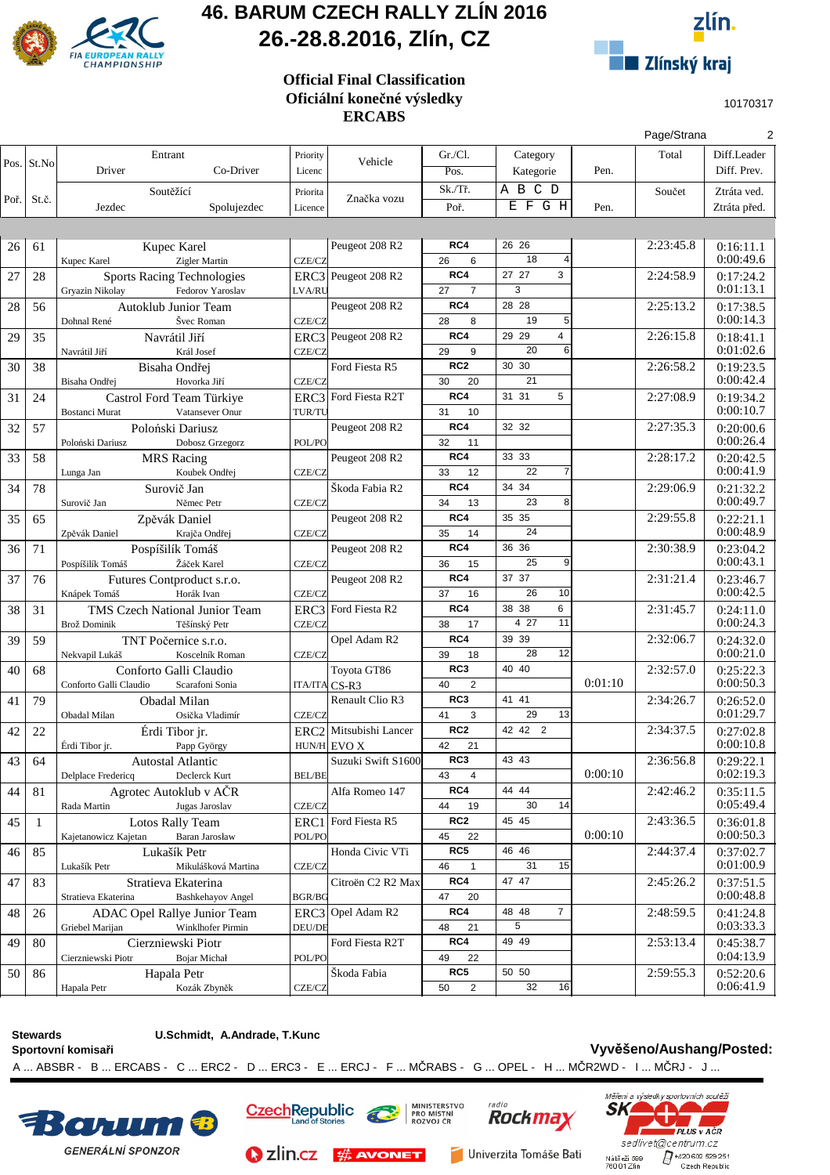

## **46. BARUM CZECH RALLY ZLÍN 2016 26.-28.8.2016, Zlín, CZ**



#### **Official Final Classification Oficiální konečné výsledky ERCABS**

10170317

|      |                |                                                                 |                      |                        |                            |                          |         | Page/Strana | $\overline{2}$         |
|------|----------------|-----------------------------------------------------------------|----------------------|------------------------|----------------------------|--------------------------|---------|-------------|------------------------|
|      |                | Entrant                                                         | Priority             |                        | Gr./Cl.                    | Category                 |         | Total       | Diff.Leader            |
|      | Pos.   St. No. | Co-Driver<br>Driver                                             | Licenc               | Vehicle                | Pos.                       | Kategorie                | Pen.    |             | Diff. Prev.            |
|      |                | Soutěžící                                                       | Priorita             |                        | Sk./Tř.                    | АВСD                     |         | Součet      | Ztráta ved.            |
| Poř. | St.č.          | Jezdec<br>Spolujezdec                                           | Licence              | Značka vozu            | Poř.                       | EFGH                     | Pen.    |             | Ztráta před.           |
|      |                |                                                                 |                      |                        |                            |                          |         |             |                        |
| 26   | 61             | Kupec Karel                                                     |                      | Peugeot 208 R2         | RC4                        | 26 26                    |         | 2:23:45.8   | 0:16:11.1              |
|      |                | Kupec Karel<br>Zigler Martin                                    | CZE/CZ               |                        | 26<br>6                    | 18<br>$\overline{4}$     |         |             | 0:00:49.6              |
| 27   | 28             | <b>Sports Racing Technologies</b>                               | ERC3                 | Peugeot 208 R2         | RC4                        | 27 27<br>3               |         | 2:24:58.9   | 0:17:24.2              |
|      |                | Fedorov Yaroslav<br>Gryazin Nikolay                             | LVA/RU               |                        | 27<br>$\overline{7}$       | 3                        |         |             | 0:01:13.1              |
| 28   | 56             | <b>Autoklub Junior Team</b>                                     |                      | Peugeot 208 R2         | RC4                        | 28 28                    |         | 2:25:13.2   | 0:17:38.5              |
|      |                | Švec Roman<br>Dohnal René                                       | CZE/CZ               |                        | 28<br>8                    | 19<br>5                  |         |             | 0:00:14.3              |
| 29   | 35             | Navrátil Jiří                                                   | ERC3                 | Peugeot 208 R2         | RC4                        | 29 29<br>4               |         | 2:26:15.8   | 0:18:41.1              |
|      |                | Král Josef<br>Navrátil Jiří                                     | CZE/CZ               |                        | 29<br>9<br>RC <sub>2</sub> | 20<br>6<br>30 30         |         |             | 0:01:02.6              |
| 30   | 38             | Bisaha Ondřej<br>Hovorka Jiří<br>Bisaha Ondřej                  | CZE/CZ               | Ford Fiesta R5         | 30<br>20                   | 21                       |         | 2:26:58.2   | 0:19:23.5<br>0:00:42.4 |
| 31   | 24             | Castrol Ford Team Türkiye                                       | ERC3                 | Ford Fiesta R2T        | RC4                        | 31 31<br>5               |         | 2:27:08.9   | 0:19:34.2              |
|      |                | <b>Bostanci Murat</b><br>Vatansever Onur                        | <b>TUR/TU</b>        |                        | 31<br>10                   |                          |         |             | 0:00:10.7              |
| 32   | 57             | Poloński Dariusz                                                |                      | Peugeot 208 R2         | RC4                        | 32 32                    |         | 2:27:35.3   | 0:20:00.6              |
|      |                | Poloński Dariusz<br>Dobosz Grzegorz                             | POL/PO               |                        | 32<br>11                   |                          |         |             | 0:00:26.4              |
| 33   | 58             | <b>MRS</b> Racing                                               |                      | Peugeot 208 R2         | RC4                        | 33 33                    |         | 2:28:17.2   | 0:20:42.5              |
|      |                | Koubek Ondřej<br>Lunga Jan                                      | CZE/CZ               |                        | 12<br>33                   | 22<br>$\overline{7}$     |         |             | 0:00:41.9              |
| 34   | 78             | Surovič Jan                                                     |                      | Škoda Fabia R2         | RC4<br>34<br>13            | 34 34<br>23<br>8         |         | 2:29:06.9   | 0:21:32.2<br>0:00:49.7 |
| 35   | 65             | Surovič Jan<br>Němec Petr<br>Zpěvák Daniel                      | CZE/CZ               | Peugeot 208 R2         | RC4                        | 35 35                    |         | 2:29:55.8   | 0:22:21.1              |
|      |                | Zpěvák Daniel<br>Krajča Ondřej                                  | CZE/CZ               |                        | 35<br>14                   | 24                       |         |             | 0:00:48.9              |
| 36   | 71             | Pospíšilík Tomáš                                                |                      | Peugeot 208 R2         | RC4                        | 36 36                    |         | 2:30:38.9   | 0:23:04.2              |
|      |                | Žáček Karel<br>Pospíšilík Tomáš                                 | CZE/CZ               |                        | 36<br>15                   | 25<br>9                  |         |             | 0:00:43.1              |
| 37   | 76             | Futures Contproduct s.r.o.                                      |                      | Peugeot 208 R2         | RC4                        | 37 37                    |         | 2:31:21.4   | 0:23:46.7              |
|      |                | Horák Ivan<br>Knápek Tomáš                                      | CZE/CZ               |                        | 37<br>16                   | 26<br>10                 |         |             | 0:00:42.5              |
| 38   | 31             | TMS Czech National Junior Team<br>Brož Dominik<br>Těšínský Petr | ERC3<br>CZE/CZ       | Ford Fiesta R2         | RC4<br>38<br>17            | 6<br>38 38<br>11<br>4 27 |         | 2:31:45.7   | 0:24:11.0<br>0:00:24.3 |
| 39   | 59             | TNT Počernice s.r.o.                                            |                      | Opel Adam R2           | RC4                        | 39 39                    |         | 2:32:06.7   | 0:24:32.0              |
|      |                | Nekvapil Lukáš<br>Koscelník Roman                               | CZE/CZ               |                        | 18<br>39                   | 28<br>12                 |         |             | 0:00:21.0              |
| 40   | 68             | Conforto Galli Claudio                                          |                      | Toyota GT86            | RC3                        | 40 40                    |         | 2:32:57.0   | 0:25:22.3              |
|      |                | Conforto Galli Claudio<br>Scarafoni Sonia                       | <b>ITA/ITA CS-R3</b> |                        | 40<br>$\overline{2}$       |                          | 0:01:10 |             | 0:00:50.3              |
| 41   | 79             | Obadal Milan                                                    |                      | Renault Clio R3        | RC3                        | 41 41                    |         | 2:34:26.7   | 0:26:52.0              |
|      |                | Obadal Milan<br>Osička Vladimír                                 | CZE/CZ               | ERC2 Mitsubishi Lancer | 41<br>3<br>RC <sub>2</sub> | 29<br>13<br>42 42 2      |         | 2:34:37.5   | 0:01:29.7              |
| 42   | 22             | Érdi Tibor jr.<br>Érdi Tibor jr.<br>Papp György                 |                      | HUN/H EVO X            | 42<br>21                   |                          |         |             | 0:27:02.8<br>0:00:10.8 |
| 43   | 64             | <b>Autostal Atlantic</b>                                        |                      | Suzuki Swift S1600     | RC3                        | 43 43                    |         | 2:36:56.8   | 0:29:22.1              |
|      |                | Declerck Kurt<br>Delplace Fredericq                             | <b>BEL/BE</b>        |                        | 43<br>4                    |                          | 0:00:10 |             | 0:02:19.3              |
| 44   | 81             | Agrotec Autoklub v AČR                                          |                      | Alfa Romeo 147         | RC4                        | 44 44                    |         | 2:42:46.2   | 0:35:11.5              |
|      |                | Jugas Jaroslav<br>Rada Martin                                   | CZE/CZ               |                        | 44<br>19                   | 30<br>14                 |         |             | 0:05:49.4              |
| 45   | 1              | Lotos Rally Team                                                | ERC1                 | Ford Fiesta R5         | RC <sub>2</sub>            | 45 45                    | 0:00:10 | 2:43:36.5   | 0:36:01.8              |
|      |                | Baran Jarosław<br>Kajetanowicz Kajetan                          | POL/PO               | Honda Civic VTi        | 22<br>45<br>RC5            | 46 46                    |         | 2:44:37.4   | 0:00:50.3              |
| 46   | 85             | Lukašík Petr<br>Lukašík Petr<br>Mikulášková Martina             | CZE/CZ               |                        | 46<br>1                    | 31<br>15                 |         |             | 0:37:02.7<br>0:01:00.9 |
| 47   | 83             | Stratieva Ekaterina                                             |                      | Citroën C2 R2 Max      | RC4                        | 47 47                    |         | 2:45:26.2   | 0:37:51.5              |
|      |                | Stratieva Ekaterina<br>Bashkehayov Angel                        | <b>BGR/BG</b>        |                        | 47<br>20                   |                          |         |             | 0:00:48.8              |
| 48   | 26             | ADAC Opel Rallye Junior Team                                    | ERC3                 | Opel Adam R2           | RC4                        | $\overline{7}$<br>48 48  |         | 2:48:59.5   | 0:41:24.8              |
|      |                | Winklhofer Pirmin<br>Griebel Marijan                            | DEU/DE               |                        | 48<br>21                   | 5                        |         |             | 0:03:33.3              |
| 49   | 80             | Cierzniewski Piotr                                              |                      | Ford Fiesta R2T        | RC4                        | 49 49                    |         | 2:53:13.4   | 0:45:38.7              |
| 50   | 86             | Cierzniewski Piotr<br>Bojar Michał<br>Hapala Petr               | POL/PO               | Škoda Fabia            | 49<br>22<br>RC5            | 50 50                    |         | 2:59:55.3   | 0:04:13.9<br>0:52:20.6 |
|      |                | Hapala Petr<br>Kozák Zbyněk                                     | CZE/CZ               |                        | $\overline{c}$<br>50       | 32<br>16                 |         |             | 0:06:41.9              |
|      |                |                                                                 |                      |                        |                            |                          |         |             |                        |

**Stewards U.Schmidt, A.Andrade, T.Kunc**

**Sportovní komisař<sup>i</sup> Vyvěšeno/Aushang/Posted:**

A ... ABSBR - B ... ERCABS - C ... ERC2 - D ... ERC3 - E ... ERCJ - F ... MČRABS - G ... OPEL - H ... MČR2WD - I ... MČRJ - J ...





 $\bullet$  zin.cz  $\#$  AVONET



radio<br>**Rockmay** 

Univerzita Tomáše Bati

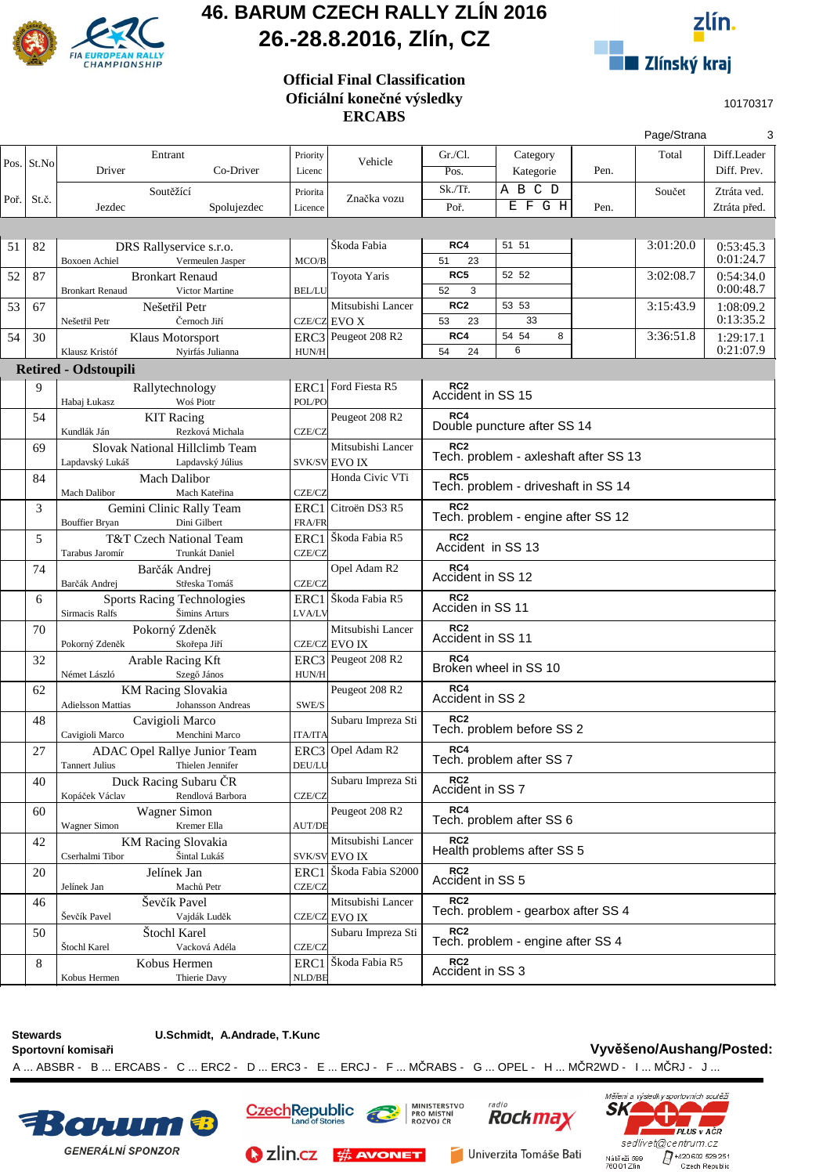

## **46. BARUM CZECH RALLY ZLÍN 2016 26.-28.8.2016, Zlín, CZ**



#### **Official Final Classification Oficiální konečné výsledky ERCABS**

10170317

|      |              |                                   |                                           |                    |                                    |                                      |                                       |      | Page/Strana | 3            |
|------|--------------|-----------------------------------|-------------------------------------------|--------------------|------------------------------------|--------------------------------------|---------------------------------------|------|-------------|--------------|
|      |              | Entrant                           |                                           |                    |                                    | Gr./Cl.                              | Category                              |      | Total       | Diff.Leader  |
|      | $Pos.$ St.No | Driver                            | Co-Driver                                 | Priority<br>Licenc | Vehicle                            | Pos.                                 | Kategorie                             | Pen. |             | Diff. Prev.  |
|      |              |                                   | Soutěžící                                 |                    |                                    | Sk./Tř.                              | A B C D                               |      |             | Ztráta ved.  |
| Poř. | St.č.        |                                   |                                           | Priorita           | Značka vozu                        |                                      | EFGH                                  |      | Součet      |              |
|      |              | Jezdec                            | Spolujezdec                               | Licence            |                                    | Poř.                                 |                                       | Pen. |             | Ztráta před. |
|      |              |                                   |                                           |                    |                                    |                                      |                                       |      |             |              |
| 51   | 82           |                                   | DRS Rallyservice s.r.o.                   |                    | Škoda Fabia                        | RC4                                  | 51 51                                 |      | 3:01:20.0   | 0:53:45.3    |
|      |              | Boxoen Achiel                     | Vermeulen Jasper                          | MCO/B              |                                    | 51<br>23                             |                                       |      |             | 0:01:24.7    |
| 52   | 87           |                                   | <b>Bronkart Renaud</b>                    |                    | Toyota Yaris                       | RC5                                  | 52 52                                 |      | 3:02:08.7   | 0:54:34.0    |
|      |              | <b>Bronkart Renaud</b>            | Victor Martine                            | <b>BEL/LU</b>      |                                    | 52<br>3                              |                                       |      |             | 0:00:48.7    |
| 53   | 67           |                                   | Nešetřil Petr                             |                    | Mitsubishi Lancer                  | RC <sub>2</sub>                      | 53 53                                 |      | 3:15:43.9   | 1:08:09.2    |
|      |              | Nešetřil Petr                     | Černoch Jiří                              |                    | CZE/CZ EVO X                       | 33<br>23<br>53                       |                                       |      |             | 0:13:35.2    |
| 54   | 30           |                                   | Klaus Motorsport                          |                    | ERC3 Peugeot 208 R2                | RC4                                  | 54 54<br>8                            |      | 3:36:51.8   | 1:29:17.1    |
|      |              | Klausz Kristóf                    | Nyirfás Julianna                          | HUN/H              |                                    | 0:21:07.9<br>6<br>54<br>24           |                                       |      |             |              |
|      |              | Retired - Odstoupili              |                                           |                    |                                    |                                      |                                       |      |             |              |
|      | 9            |                                   | Rallytechnology                           |                    | ERC1 Ford Fiesta R5                | RC <sub>2</sub>                      |                                       |      |             |              |
|      |              | Habaj Łukasz                      | Woś Piotr                                 | POL/PO             |                                    | Accident in SS 15                    |                                       |      |             |              |
|      | 54           |                                   | <b>KIT</b> Racing                         |                    | Peugeot 208 R2                     | RC4                                  |                                       |      |             |              |
|      |              | Kundlák Ján                       | Rezková Michala                           | CZE/CZ             |                                    |                                      | Double puncture after SS 14           |      |             |              |
|      | 69           |                                   | Slovak National Hillclimb Team            |                    | Mitsubishi Lancer                  | RC <sub>2</sub>                      |                                       |      |             |              |
|      |              | Lapdavský Lukáš                   | Lapdavský Július                          |                    | SVK/SV EVO IX                      |                                      | Tech. problem - axleshaft after SS 13 |      |             |              |
|      | 84           |                                   | Mach Dalibor                              |                    | Honda Civic VTi                    | RC <sub>5</sub>                      |                                       |      |             |              |
|      |              | Mach Dalibor                      | Mach Kateřina                             | CZE/CZ             |                                    |                                      | Tech. problem - driveshaft in SS 14   |      |             |              |
|      | 3            |                                   | Gemini Clinic Rally Team                  | ERC1               | Citroën DS3 R5                     | RC <sub>2</sub>                      |                                       |      |             |              |
|      |              | Bouffier Bryan                    | Dini Gilbert                              | FRA/FR             |                                    |                                      | Tech. problem - engine after SS 12    |      |             |              |
|      | 5            |                                   | T&T Czech National Team                   |                    | ERC1 Škoda Fabia R5                | RC <sub>2</sub>                      |                                       |      |             |              |
|      |              | Tarabus Jaromír                   | Trunkát Daniel                            | CZE/CZ             |                                    | Accident in SS 13                    |                                       |      |             |              |
|      | 74           |                                   | Barčák Andrej                             |                    | Opel Adam R2                       | RC4                                  |                                       |      |             |              |
|      |              | Barčák Andrej                     | Střeska Tomáš                             | CZE/CZ             |                                    | Accident in SS 12                    |                                       |      |             |              |
|      | 6            | <b>Sports Racing Technologies</b> |                                           |                    | Škoda Fabia R5                     | RC <sub>2</sub><br>Acciden in SS 11  |                                       |      |             |              |
|      |              | Sirmacis Ralfs                    | Šimins Arturs                             | LVA/LV             |                                    |                                      |                                       |      |             |              |
|      | 70           |                                   | Pokorný Zdeněk                            |                    | Mitsubishi Lancer                  | RC <sub>2</sub><br>Accident in SS 11 |                                       |      |             |              |
|      |              | Pokorný Zdeněk                    | Skořepa Jiří                              |                    | CZE/CZ EVO IX                      |                                      |                                       |      |             |              |
|      | 32           |                                   | Arable Racing Kft                         | HUN/H              | ERC3 Peugeot 208 R2                | RC4                                  | Broken wheel in SS 10                 |      |             |              |
|      |              | Szegő János<br>Német László       |                                           |                    |                                    |                                      |                                       |      |             |              |
|      | 62           | <b>KM Racing Slovakia</b>         |                                           |                    | Peugeot 208 R2                     | RC4<br>Accident in SS 2              |                                       |      |             |              |
|      |              | <b>Adielsson Mattias</b>          | Johansson Andreas                         | $\text{SWE/S}$     |                                    |                                      |                                       |      |             |              |
|      | 48           |                                   | Cavigioli Marco                           |                    | Subaru Impreza Sti                 | RC <sub>2</sub>                      | Tech. problem before SS 2             |      |             |              |
|      |              | Cavigioli Marco                   | Menchini Marco                            | <b>ITA/ITA</b>     |                                    |                                      |                                       |      |             |              |
|      | 27           |                                   | ADAC Opel Rallye Junior Team              |                    | ERC3 Opel Adam R2                  | RC4<br>Tech. problem after SS 7      |                                       |      |             |              |
|      |              | <b>Tannert Julius</b>             | Thielen Jennifer                          | DEU/LU             |                                    |                                      |                                       |      |             |              |
|      | 40           |                                   | Duck Racing Subaru ČR                     |                    | Subaru Impreza Sti                 | RC <sub>2</sub><br>Accident in SS 7  |                                       |      |             |              |
|      |              | Kopáček Václav                    | Rendlová Barbora                          | CZE/CZ             |                                    | RC4                                  |                                       |      |             |              |
|      | 60           |                                   | Wagner Simon                              |                    | Peugeot 208 R2                     |                                      | Tech. problem after SS 6              |      |             |              |
|      |              | Wagner Simon                      | Kremer Ella                               | <b>AUT/DE</b>      |                                    | RC <sub>2</sub>                      |                                       |      |             |              |
|      | 42           |                                   | <b>KM Racing Slovakia</b><br>Šintal Lukáš |                    | Mitsubishi Lancer<br>SVK/SV EVO IX | Health problems after SS 5           |                                       |      |             |              |
|      |              | Cserhalmi Tibor                   |                                           | ERC1               | Škoda Fabia S2000                  | RC <sub>2</sub>                      |                                       |      |             |              |
|      | 20           | Jelínek Jan                       | Jelínek Jan<br>Machů Petr                 | CZE/CZ             |                                    | Accident in SS 5                     |                                       |      |             |              |
|      | 46           |                                   | Ševčík Pavel                              |                    | Mitsubishi Lancer                  | RC <sub>2</sub>                      |                                       |      |             |              |
|      |              | Ševčík Pavel                      | Vajdák Luděk                              |                    | CZE/CZ EVO IX                      | Tech. problem - gearbox after SS 4   |                                       |      |             |              |
|      | 50           |                                   | Štochl Karel                              |                    | Subaru Impreza Sti                 | RC <sub>2</sub>                      |                                       |      |             |              |
|      |              | Štochl Karel                      | Vacková Adéla                             | CZE/CZ             |                                    |                                      | Tech. problem - engine after SS 4     |      |             |              |
|      | 8            |                                   | Kobus Hermen                              | ERC1               | Škoda Fabia R5                     | RC <sub>2</sub>                      |                                       |      |             |              |
|      |              | Kobus Hermen                      | Thierie Davy                              | NLD/BE             |                                    | Accident in SS 3                     |                                       |      |             |              |
|      |              |                                   |                                           |                    |                                    |                                      |                                       |      |             |              |

## **Stewards U.Schmidt, A.Andrade, T.Kunc**

**Sportovní komisař<sup>i</sup> Vyvěšeno/Aushang/Posted:**

A ... ABSBR - B ... ERCABS - C ... ERC2 - D ... ERC3 - E ... ERCJ - F ... MČRABS - G ... OPEL - H ... MČR2WD - I ... MČRJ - J ...





 $\bullet$  zin.cz  $\#$  AVONET



radio<br>**Rockmay**